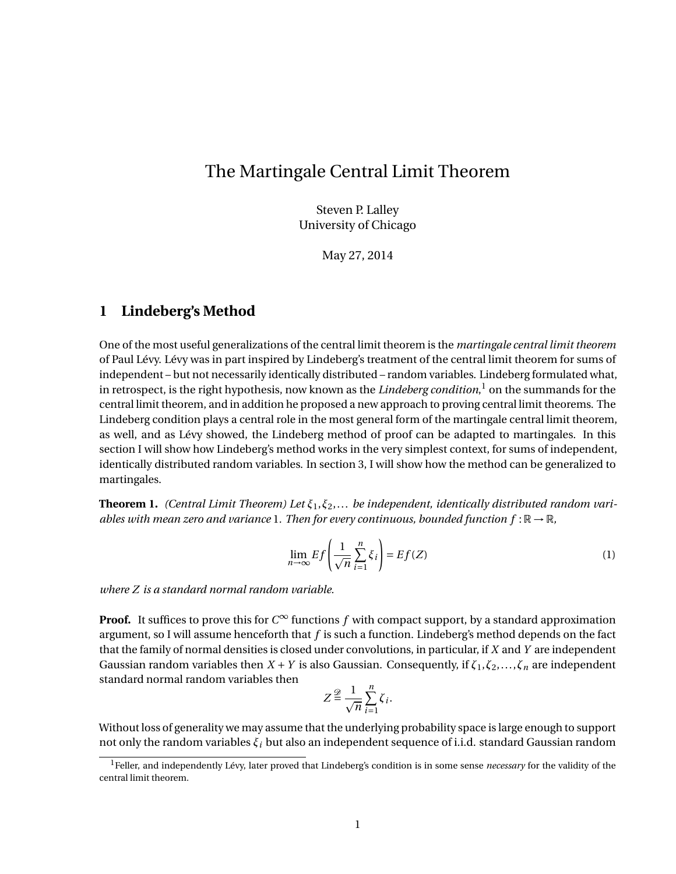## The Martingale Central Limit Theorem

Steven P. Lalley University of Chicago

May 27, 2014

## **1 Lindeberg's Method**

One of the most useful generalizations of the central limit theorem is the *martingale central limit theorem* of Paul Lévy. Lévy was in part inspired by Lindeberg's treatment of the central limit theorem for sums of independent – but not necessarily identically distributed – random variables. Lindeberg formulated what, in retrospect, is the right hypothesis, now known as the *Lindeberg condition*, <sup>1</sup> on the summands for the central limit theorem, and in addition he proposed a new approach to proving central limit theorems. The Lindeberg condition plays a central role in the most general form of the martingale central limit theorem, as well, and as Lévy showed, the Lindeberg method of proof can be adapted to martingales. In this section I will show how Lindeberg's method works in the very simplest context, for sums of independent, identically distributed random variables. In section 3, I will show how the method can be generalized to martingales.

**Theorem 1.** *(Central Limit Theorem) Let ξ*1,*ξ*2,... *be independent, identically distributed random variables with mean zero and variance* 1*. Then for every continuous, bounded function*  $f : \mathbb{R} \to \mathbb{R}$ *,* 

$$
\lim_{n \to \infty} Ef\left(\frac{1}{\sqrt{n}} \sum_{i=1}^{n} \xi_i\right) = Ef(Z)
$$
\n(1)

*where Z is a standard normal random variable.*

**Proof.** It suffices to prove this for  $C^\infty$  functions  $f$  with compact support, by a standard approximation argument, so I will assume henceforth that *f* is such a function. Lindeberg's method depends on the fact that the family of normal densities is closed under convolutions, in particular, if *X* and *Y* are independent Gaussian random variables then  $X + Y$  is also Gaussian. Consequently, if  $\zeta_1, \zeta_2, ..., \zeta_n$  are independent standard normal random variables then

$$
Z \stackrel{\mathscr{D}}{=} \frac{1}{\sqrt{n}} \sum_{i=1}^{n} \zeta_i.
$$

Without loss of generality we may assume that the underlying probability space is large enough to support not only the random variables *ξ<sup>i</sup>* but also an independent sequence of i.i.d. standard Gaussian random

<sup>1</sup>Feller, and independently Lévy, later proved that Lindeberg's condition is in some sense *necessary* for the validity of the central limit theorem.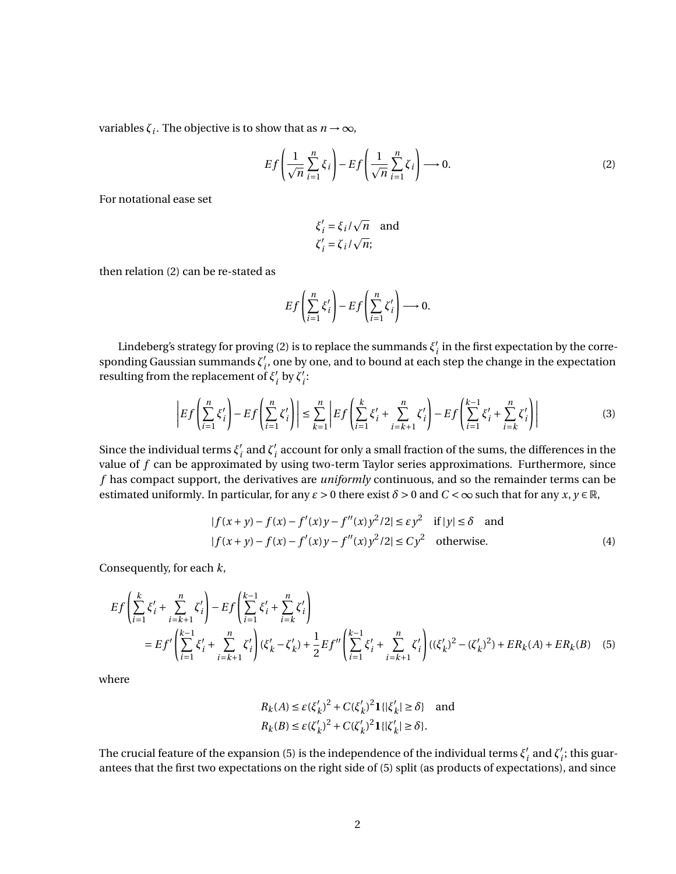variables  $\zeta_i$ . The objective is to show that as  $n \to \infty$ ,

$$
Ef\left(\frac{1}{\sqrt{n}}\sum_{i=1}^{n}\xi_{i}\right)-Ef\left(\frac{1}{\sqrt{n}}\sum_{i=1}^{n}\zeta_{i}\right)\longrightarrow 0.
$$
\n(2)

For notational ease set

$$
\xi'_i = \xi_i / \sqrt{n} \text{ and}
$$
  

$$
\zeta'_i = \zeta_i / \sqrt{n};
$$

then relation (2) can be re-stated as

$$
Ef\left(\sum_{i=1}^n \xi'_i\right) - Ef\left(\sum_{i=1}^n \zeta'_i\right) \longrightarrow 0.
$$

Lindeberg's strategy for proving (2) is to replace the summands  $\zeta^{\prime}$  $i<sub>i</sub>$  in the first expectation by the corresponding Gaussian summands ζ'<sub>i</sub>  $'_{i'}$ , one by one, and to bound at each step the change in the expectation resulting from the replacement of *ξ* 0  $\int_i'$  by  $\overline{\zeta'_i}$ *i* :

$$
\left| Ef\left(\sum_{i=1}^{n} \xi'_{i}\right) - Ef\left(\sum_{i=1}^{n} \zeta'_{i}\right) \right| \leq \sum_{k=1}^{n} \left| Ef\left(\sum_{i=1}^{k} \xi'_{i} + \sum_{i=k+1}^{n} \zeta'_{i}\right) - Ef\left(\sum_{i=1}^{k-1} \xi'_{i} + \sum_{i=k}^{n} \zeta'_{i}\right) \right|
$$
(3)

Since the individual terms *ξ* 0  $\frac{7}{i}$  and  $\zeta_i'$  $\boldsymbol{q}^\prime_i$  account for only a small fraction of the sums, the differences in the value of *f* can be approximated by using two-term Taylor series approximations. Furthermore, since *f* has compact support, the derivatives are *uniformly* continuous, and so the remainder terms can be estimated uniformly. In particular, for any  $\varepsilon > 0$  there exist  $\delta > 0$  and  $C < \infty$  such that for any  $x, y \in \mathbb{R}$ ,

$$
|f(x+y) - f(x) - f'(x)y - f''(x)y^{2}/2| \le \varepsilon y^{2} \quad \text{if } |y| \le \delta \quad \text{and}
$$
  

$$
|f(x+y) - f(x) - f'(x)y - f''(x)y^{2}/2| \le Cy^{2} \quad \text{otherwise.}
$$
 (4)

Consequently, for each *k*,

$$
Ef\left(\sum_{i=1}^{k} \xi'_{i} + \sum_{i=k+1}^{n} \zeta'_{i}\right) - Ef\left(\sum_{i=1}^{k-1} \xi'_{i} + \sum_{i=k}^{n} \zeta'_{i}\right)
$$
  
=  $Ef'\left(\sum_{i=1}^{k-1} \xi'_{i} + \sum_{i=k+1}^{n} \zeta'_{i}\right) (\xi'_{k} - \zeta'_{k}) + \frac{1}{2} Ef''\left(\sum_{i=1}^{k-1} \xi'_{i} + \sum_{i=k+1}^{n} \zeta'_{i}\right) ((\xi'_{k})^{2} - (\zeta'_{k})^{2}) + ER_{k}(A) + ER_{k}(B)$  (5)

where

$$
R_k(A) \le \varepsilon (\xi'_k)^2 + C(\xi'_k)^2 \mathbf{1}\{|\xi'_k| \ge \delta\} \quad \text{and}
$$
  

$$
R_k(B) \le \varepsilon (\zeta'_k)^2 + C(\zeta'_k)^2 \mathbf{1}\{|\zeta'_k| \ge \delta\}.
$$

The crucial feature of the expansion (5) is the independence of the individual terms  $\zeta_i'$  $\frac{7}{i}$  and  $\frac{7}{i}$  $i<sub>i</sub>$ ; this guarantees that the first two expectations on the right side of (5) split (as products of expectations), and since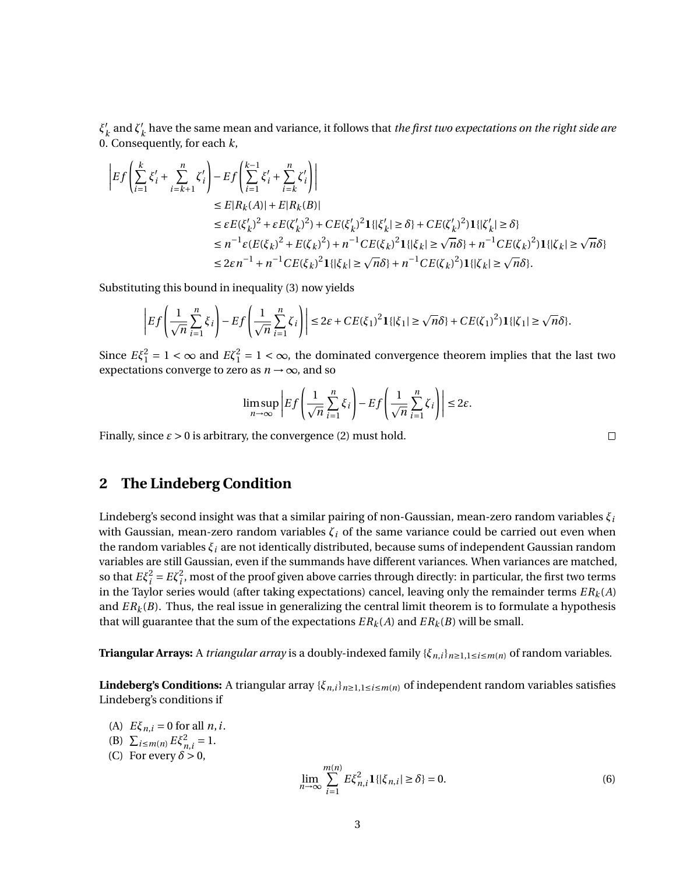*ξ* 0  $\frac{1}{k}$  and  $\zeta'$ <sub>*j*</sub> *k* have the same mean and variance, it follows that *the first two expectations on the right side are* 0. Consequently, for each *k*,

$$
\begin{split} \left|Ef\left(\sum_{i=1}^{k} \xi'_{i} + \sum_{i=k+1}^{n} \zeta'_{i}\right) - Ef\left(\sum_{i=1}^{k-1} \xi'_{i} + \sum_{i=k}^{n} \zeta'_{i}\right)\right| \\ &\leq E|R_{k}(A)| + E|R_{k}(B)| \\ &\leq \varepsilon E(\xi'_{k})^{2} + \varepsilon E(\zeta'_{k})^{2}) + CE(\xi'_{k})^{2} \mathbf{1}\{|\xi'_{k}| \geq \delta\} + CE(\zeta'_{k})^{2})\mathbf{1}\{|\zeta'_{k}| \geq \delta\} \\ &\leq n^{-1}\varepsilon (E(\xi_{k})^{2} + E(\zeta_{k})^{2}) + n^{-1}CE(\xi_{k})^{2}\mathbf{1}\{|\xi_{k}| \geq \sqrt{n}\delta\} + n^{-1}CE(\zeta_{k})^{2})\mathbf{1}\{|\zeta_{k}| \geq \sqrt{n}\delta\} \\ &\leq 2\varepsilon n^{-1} + n^{-1}CE(\xi_{k})^{2}\mathbf{1}\{|\xi_{k}| \geq \sqrt{n}\delta\} + n^{-1}CE(\zeta_{k})^{2})\mathbf{1}\{|\zeta_{k}| \geq \sqrt{n}\delta\}. \end{split}
$$

Substituting this bound in inequality (3) now yields

$$
\left|Ef\left(\frac{1}{\sqrt{n}}\sum_{i=1}^n\xi_i\right)-Ef\left(\frac{1}{\sqrt{n}}\sum_{i=1}^n\zeta_i\right)\right|\leq 2\varepsilon + CE(\xi_1)^2\mathbf{1}\{|\xi_1|\geq \sqrt{n}\delta\}+ CE(\zeta_1)^2\mathbf{1}\{|\zeta_1|\geq \sqrt{n}\delta\}.
$$

Since  $E\xi_1^2 = 1 < \infty$  and  $E\xi_1^2 = 1 < \infty$ , the dominated convergence theorem implies that the last two expectations converge to zero as  $n \rightarrow \infty$ , and so

$$
\limsup_{n \to \infty} \left| Ef \left( \frac{1}{\sqrt{n}} \sum_{i=1}^n \xi_i \right) - Ef \left( \frac{1}{\sqrt{n}} \sum_{i=1}^n \zeta_i \right) \right| \le 2\varepsilon.
$$

Finally, since  $\varepsilon > 0$  is arbitrary, the convergence (2) must hold.

 $\Box$ 

## **2 The Lindeberg Condition**

Lindeberg's second insight was that a similar pairing of non-Gaussian, mean-zero random variables *ξ<sup>i</sup>* with Gaussian, mean-zero random variables  $\zeta_i$  of the same variance could be carried out even when the random variables *ξ<sup>i</sup>* are not identically distributed, because sums of independent Gaussian random variables are still Gaussian, even if the summands have different variances. When variances are matched, so that  $E\xi_i^2 = E\zeta_i^2$ , most of the proof given above carries through directly: in particular, the first two terms in the Taylor series would (after taking expectations) cancel, leaving only the remainder terms *ER<sup>k</sup>* (*A*) and  $ER_k(B)$ . Thus, the real issue in generalizing the central limit theorem is to formulate a hypothesis that will guarantee that the sum of the expectations  $ER_k(A)$  and  $ER_k(B)$  will be small.

**Triangular Arrays:** A *triangular array* is a doubly-indexed family {*ξn*,*i*}*n*≥1,1≤*i*≤*m*(*n*) of random variables.

**Lindeberg's Conditions:** A triangular array  $\{\xi_{n,i}\}_{n\geq1,1\leq i\leq m(n)}$  of independent random variables satisfies Lindeberg's conditions if

- (A)  $E\xi_{n,i} = 0$  for all *n*, *i*.
- (B)  $\sum_{i \le m(n)} E \xi_{n,i}^2 = 1$ .
- (C) For every  $\delta > 0$ ,

$$
\lim_{n \to \infty} \sum_{i=1}^{m(n)} E \xi_{n,i}^2 \mathbf{1} \{ |\xi_{n,i}| \ge \delta \} = 0.
$$
 (6)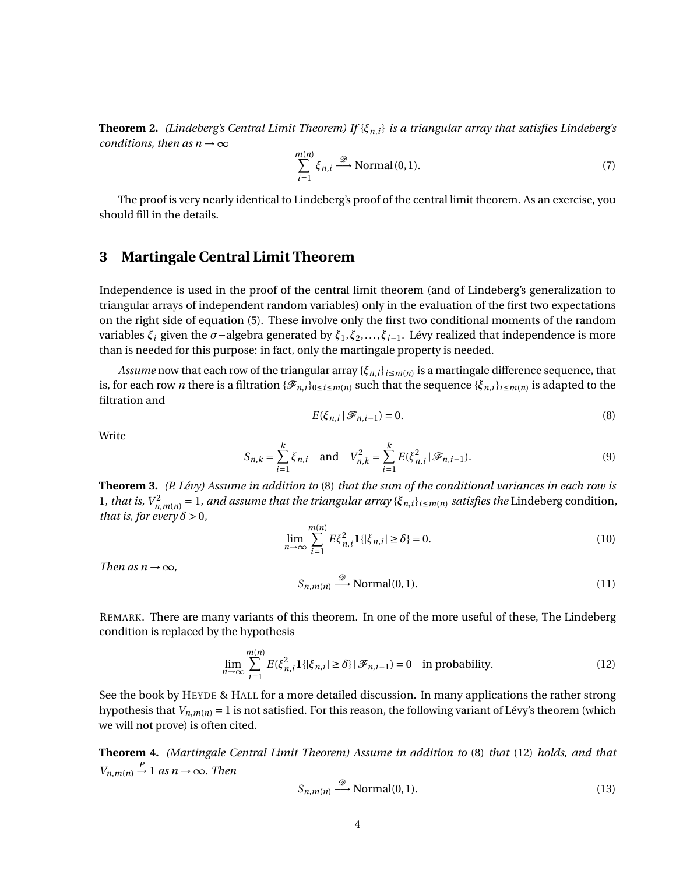**Theorem 2.** *(Lindeberg's Central Limit Theorem) If* {*ξn*,*i*} *is a triangular array that satisfies Lindeberg's conditions, then as n*  $\rightarrow \infty$ 

$$
\sum_{i=1}^{m(n)} \xi_{n,i} \stackrel{\mathcal{D}}{\longrightarrow} \text{Normal}(0,1). \tag{7}
$$

The proof is very nearly identical to Lindeberg's proof of the central limit theorem. As an exercise, you should fill in the details.

## **3 Martingale Central Limit Theorem**

Independence is used in the proof of the central limit theorem (and of Lindeberg's generalization to triangular arrays of independent random variables) only in the evaluation of the first two expectations on the right side of equation (5). These involve only the first two conditional moments of the random variables *ξ<sup>i</sup>* given the *σ*−algebra generated by *ξ*1,*ξ*2,...,*ξi*−1. Lévy realized that independence is more than is needed for this purpose: in fact, only the martingale property is needed.

*Assume* now that each row of the triangular array {*ξn*,*i*}*i*≤*m*(*n*) is a martingale difference sequence, that is, for each row  $n$  there is a filtration  $\{\mathscr{F}_{n,i}\}_{0\le i\le m(n)}$  such that the sequence  $\{\xi_{n,i}\}_{i\le m(n)}$  is adapted to the filtration and

$$
E(\xi_{n,i} | \mathcal{F}_{n,i-1}) = 0.
$$
 (8)

**Write** 

$$
S_{n,k} = \sum_{i=1}^{k} \xi_{n,i} \text{ and } V_{n,k}^2 = \sum_{i=1}^{k} E(\xi_{n,i}^2 | \mathcal{F}_{n,i-1}).
$$
 (9)

**Theorem 3.** *(P. Lévy) Assume in addition to* (8) *that the sum of the conditional variances in each row is* 1, that is,  $V_{n,m(n)}^2 = 1$ , and assume that the triangular array { $\xi_{n,i}$ } $_{i \leq m(n)}$  satisfies the Lindeberg condition, *that is, for every*  $\delta > 0$ *,* 

$$
\lim_{n \to \infty} \sum_{i=1}^{m(n)} E \xi_{n,i}^2 \mathbf{1}\{|\xi_{n,i}| \ge \delta\} = 0.
$$
\n(10)

*Then as n*  $\rightarrow \infty$ *,* 

$$
S_{n,m(n)} \xrightarrow{\mathscr{D}} \text{Normal}(0,1). \tag{11}
$$

REMARK. There are many variants of this theorem. In one of the more useful of these, The Lindeberg condition is replaced by the hypothesis

$$
\lim_{n \to \infty} \sum_{i=1}^{m(n)} E(\xi_{n,i}^2 1\{|\xi_{n,i}| \ge \delta\} | \mathcal{F}_{n,i-1}) = 0 \quad \text{in probability.}
$$
 (12)

See the book by HEYDE & HALL for a more detailed discussion. In many applications the rather strong hypothesis that  $V_{n,m(n)} = 1$  is not satisfied. For this reason, the following variant of Lévy's theorem (which we will not prove) is often cited.

**Theorem 4.** *(Martingale Central Limit Theorem) Assume in addition to* (8) *that* (12) *holds, and that*  $V_{n,m(n)} \stackrel{P}{\rightarrow} 1$  *as*  $n \rightarrow \infty$ *. Then* 

$$
S_{n,m(n)} \xrightarrow{\mathscr{D}} \text{Normal}(0,1). \tag{13}
$$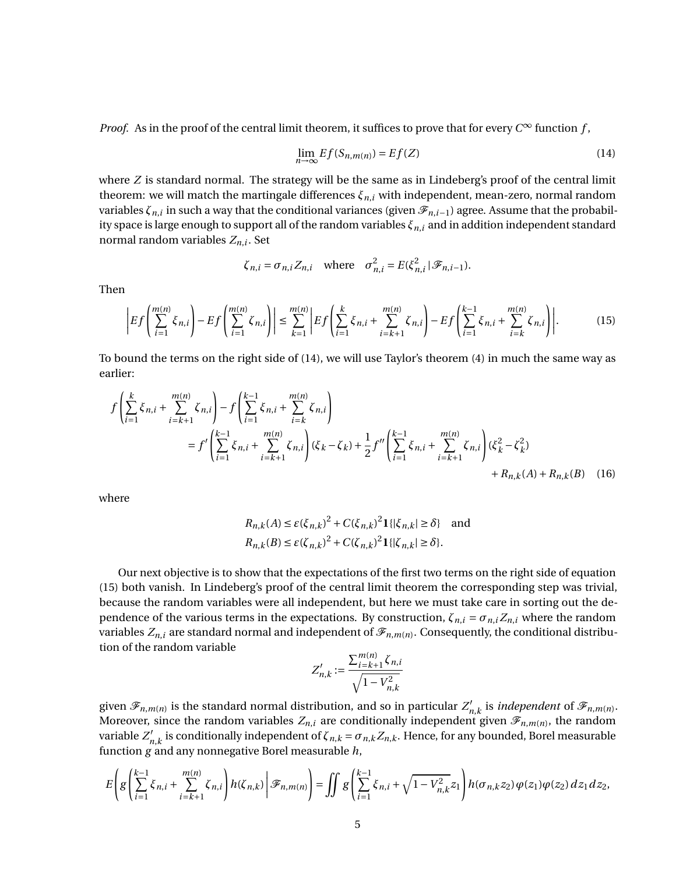*Proof.* As in the proof of the central limit theorem, it suffices to prove that for every  $C^{\infty}$  function f,

$$
\lim_{n \to \infty} E f(S_{n,m(n)}) = E f(Z) \tag{14}
$$

where *Z* is standard normal. The strategy will be the same as in Lindeberg's proof of the central limit theorem: we will match the martingale differences  $\xi_{n,i}$  with independent, mean-zero, normal random variables  $\zeta_{n,i}$  in such a way that the conditional variances (given  $\mathscr{F}_{n,i-1}$ ) agree. Assume that the probability space is large enough to support all of the random variables *ξn*,*<sup>i</sup>* and in addition independent standard normal random variables *Zn*,*<sup>i</sup>* . Set

$$
\zeta_{n,i} = \sigma_{n,i} Z_{n,i}
$$
 where  $\sigma_{n,i}^2 = E(\xi_{n,i}^2 | \mathcal{F}_{n,i-1}).$ 

Then

$$
\left|Ef\left(\sum_{i=1}^{m(n)}\xi_{n,i}\right) - Ef\left(\sum_{i=1}^{m(n)}\zeta_{n,i}\right)\right| \le \sum_{k=1}^{m(n)} \left|Ef\left(\sum_{i=1}^{k}\xi_{n,i} + \sum_{i=k+1}^{m(n)}\zeta_{n,i}\right) - Ef\left(\sum_{i=1}^{k-1}\xi_{n,i} + \sum_{i=k}^{m(n)}\zeta_{n,i}\right)\right|.
$$
(15)

To bound the terms on the right side of (14), we will use Taylor's theorem (4) in much the same way as earlier:

$$
f\left(\sum_{i=1}^{k} \xi_{n,i} + \sum_{i=k+1}^{m(n)} \zeta_{n,i}\right) - f\left(\sum_{i=1}^{k-1} \xi_{n,i} + \sum_{i=k}^{m(n)} \zeta_{n,i}\right)
$$
  
=  $f'\left(\sum_{i=1}^{k-1} \xi_{n,i} + \sum_{i=k+1}^{m(n)} \zeta_{n,i}\right) (\xi_k - \zeta_k) + \frac{1}{2} f''\left(\sum_{i=1}^{k-1} \xi_{n,i} + \sum_{i=k+1}^{m(n)} \zeta_{n,i}\right) (\xi_k^2 - \zeta_k^2) + R_{n,k}(A) + R_{n,k}(B)$  (16)

where

$$
R_{n,k}(A) \le \varepsilon (\xi_{n,k})^2 + C(\xi_{n,k})^2 \mathbf{1}\{|\xi_{n,k}| \ge \delta\} \text{ and}
$$
  

$$
R_{n,k}(B) \le \varepsilon (\zeta_{n,k})^2 + C(\zeta_{n,k})^2 \mathbf{1}\{|\zeta_{n,k}| \ge \delta\}.
$$

Our next objective is to show that the expectations of the first two terms on the right side of equation (15) both vanish. In Lindeberg's proof of the central limit theorem the corresponding step was trivial, because the random variables were all independent, but here we must take care in sorting out the dependence of the various terms in the expectations. By construction,  $\zeta_{n,i} = \sigma_{n,i} Z_{n,i}$  where the random variables  $Z_{n,i}$  are standard normal and independent of  $\mathscr{F}_{n,m(n)}.$  Consequently, the conditional distribution of the random variable

$$
Z'_{n,k} := \frac{\sum_{i=k+1}^{m(n)} \zeta_{n,i}}{\sqrt{1 - V_{n,k}^2}}
$$

given  $\mathscr{F}_{n,m(n)}$  is the standard normal distribution, and so in particular  $Z'_n$  $C'_{n,k}$  is *independent* of  $\mathscr{F}_{n,m(n)}$ . Moreover, since the random variables  $Z_{n,i}$  are conditionally independent given  $\mathscr{F}_{n,m(n)}$ , the random variable  $Z'_i$  $n'$ <sub>*n*,*k*</sub> is conditionally independent of  $ζ$ <sub>*n*,*k*</sub> =  $σ$ <sub>*n*,*k*</sub>*Z*<sub>*n*,*k*</sub>. Hence, for any bounded, Borel measurable function *g* and any nonnegative Borel measurable *h*,

$$
E\left(g\left(\sum_{i=1}^{k-1}\xi_{n,i}+\sum_{i=k+1}^{m(n)}\zeta_{n,i}\right)h(\zeta_{n,k})\bigg|\mathcal{F}_{n,m(n)}\right)=\iint g\left(\sum_{i=1}^{k-1}\xi_{n,i}+\sqrt{1-V_{n,k}^2}z_1\right)h(\sigma_{n,k}z_2)\,\varphi(z_1)\varphi(z_2)\,dz_1dz_2,
$$